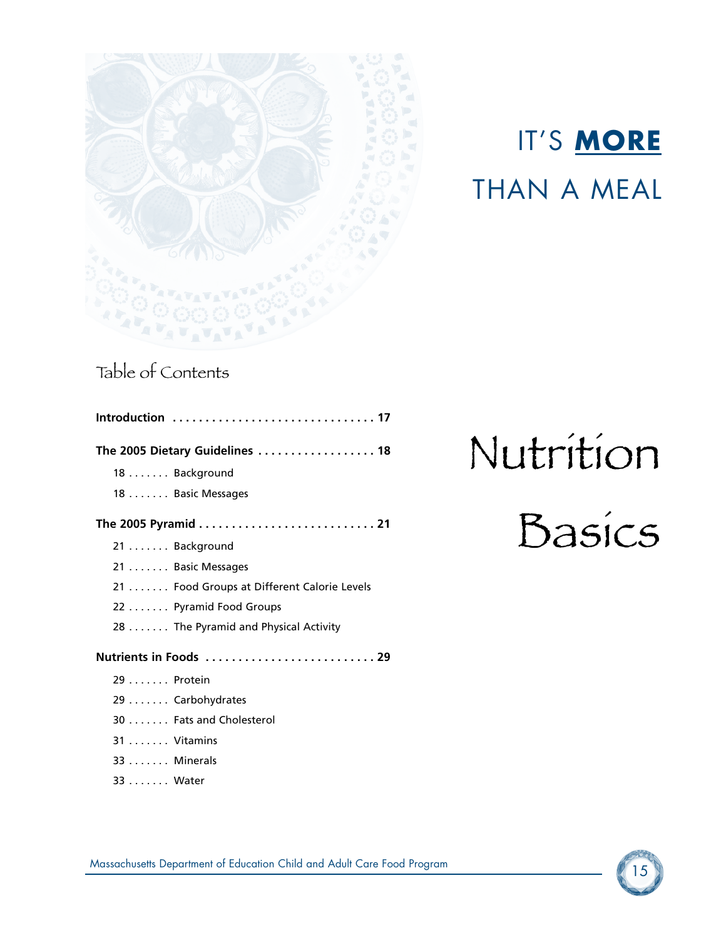



# Table of Contents

33 . . . . . . . Water

| Introduction  17                           |
|--------------------------------------------|
| The 2005 Dietary Guidelines  18            |
| 18 Background                              |
| 18 Basic Messages                          |
|                                            |
| 21 Background                              |
| 21 Basic Messages                          |
| 21 Food Groups at Different Calorie Levels |
| 22 Pyramid Food Groups                     |
| 28 The Pyramid and Physical Activity       |
| Nutrients in Foods  29                     |
| 29 Protein                                 |
| 29 Carbohydrates                           |
| 30 Fats and Cholesterol                    |
| 31 Vitamins                                |
| 33 Minerals                                |

# Nutrition

# Basics

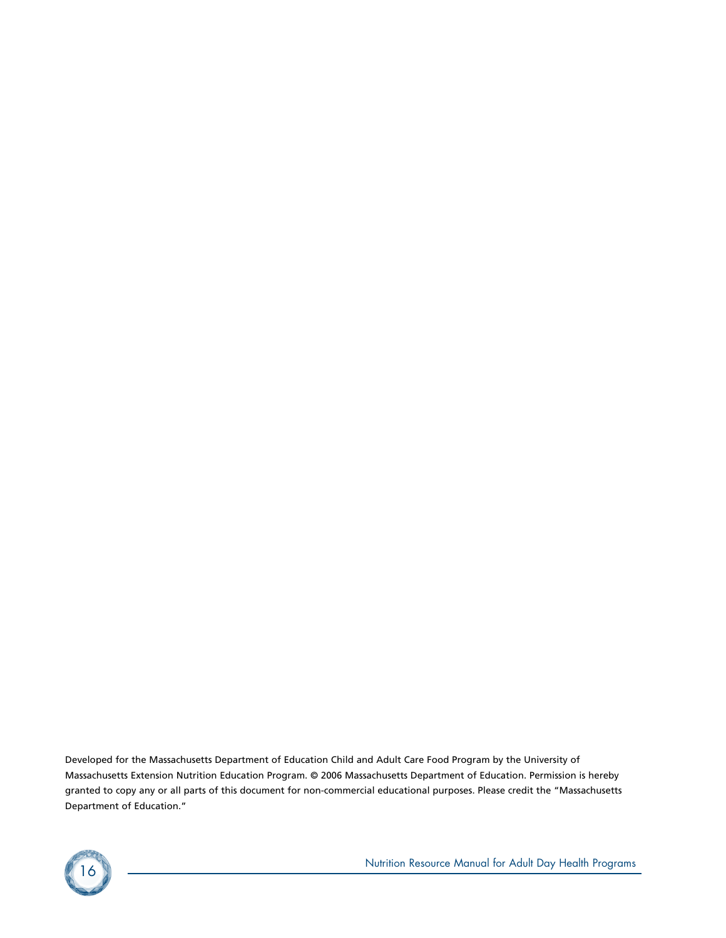Developed for the Massachusetts Department of Education Child and Adult Care Food Program by the University of Massachusetts Extension Nutrition Education Program. © 2006 Massachusetts Department of Education. Permission is hereby granted to copy any or all parts of this document for non-commercial educational purposes. Please credit the "Massachusetts Department of Education."



<sup>16</sup> Nutrition Resource Manual for Adult Day Health Programs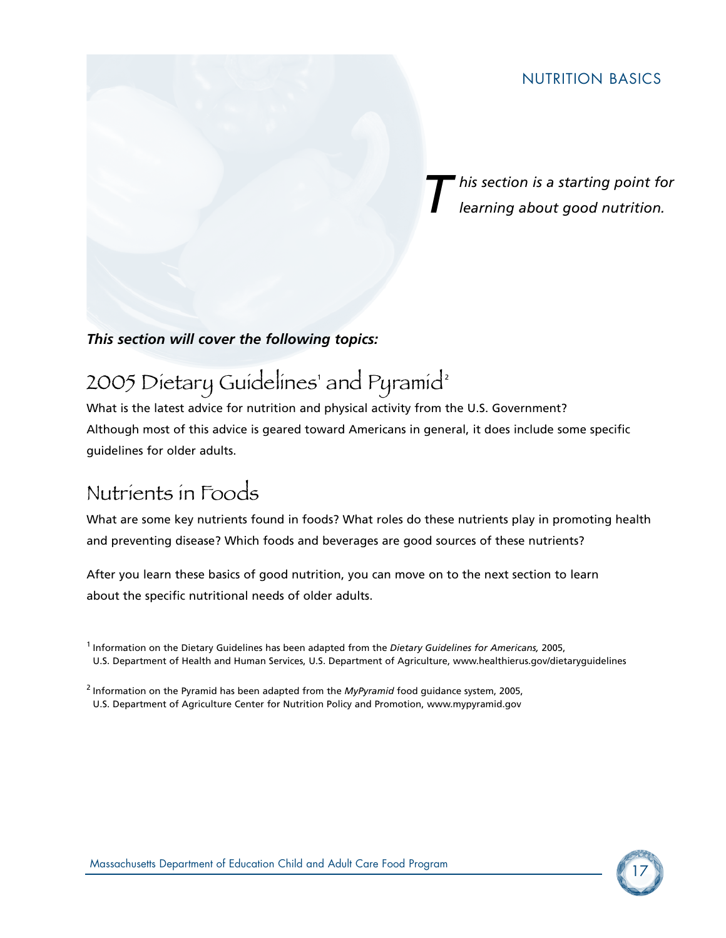*T his section is a starting point for learning about good nutrition.*

## *This section will cover the following topics:*

# 2005 Dietary Guidelines' and Pyramid<sup>2</sup>

What is the latest advice for nutrition and physical activity from the U.S. Government? Although most of this advice is geared toward Americans in general, it does include some specific guidelines for older adults.

# Nutrients in Foods

What are some key nutrients found in foods? What roles do these nutrients play in promoting health and preventing disease? Which foods and beverages are good sources of these nutrients?

After you learn these basics of good nutrition, you can move on to the next section to learn about the specific nutritional needs of older adults.



<sup>1</sup> Information on the Dietary Guidelines has been adapted from the *Dietary Guidelines for Americans,* 2005, U.S. Department of Health and Human Services, U.S. Department of Agriculture, www.healthierus.gov/dietaryguidelines

<sup>2</sup> Information on the Pyramid has been adapted from the *MyPyramid* food guidance system, 2005, U.S. Department of Agriculture Center for Nutrition Policy and Promotion, www.mypyramid.gov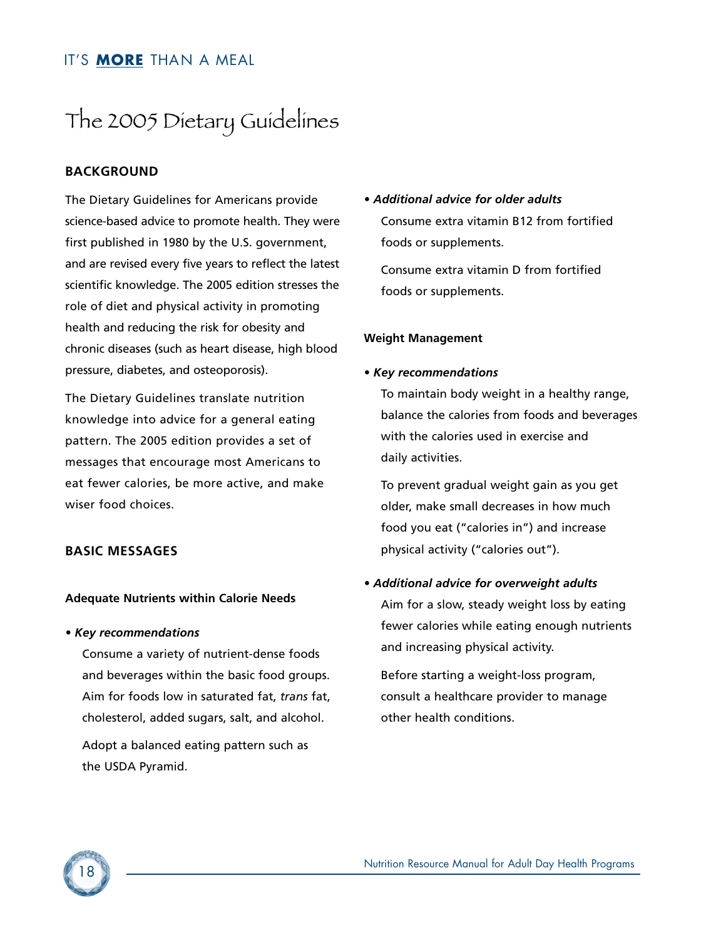# The 2005 Dietary Guidelines

## **BACKGROUND**

The Dietary Guidelines for Americans provide science-based advice to promote health. They were first published in 1980 by the U.S. government, and are revised every five years to reflect the latest scientific knowledge. The 2005 edition stresses the role of diet and physical activity in promoting health and reducing the risk for obesity and chronic diseases (such as heart disease, high blood pressure, diabetes, and osteoporosis).

The Dietary Guidelines translate nutrition knowledge into advice for a general eating pattern. The 2005 edition provides a set of messages that encourage most Americans to eat fewer calories, be more active, and make wiser food choices.

#### **BASIC MESSAGES**

#### **Adequate Nutrients within Calorie Needs**

#### *• Key recommendations*

Consume a variety of nutrient-dense foods and beverages within the basic food groups. Aim for foods low in saturated fat, *trans* fat, cholesterol, added sugars, salt, and alcohol.

Adopt a balanced eating pattern such as the USDA Pyramid.

*• Additional advice for older adults* Consume extra vitamin B12 from fortified foods or supplements.

Consume extra vitamin D from fortified foods or supplements.

#### **Weight Management**

#### *• Key recommendations*

To maintain body weight in a healthy range, balance the calories from foods and beverages with the calories used in exercise and daily activities.

To prevent gradual weight gain as you get older, make small decreases in how much food you eat ("calories in") and increase physical activity ("calories out").

#### *• Additional advice for overweight adults*

Aim for a slow, steady weight loss by eating fewer calories while eating enough nutrients and increasing physical activity.

Before starting a weight-loss program, consult a healthcare provider to manage other health conditions.

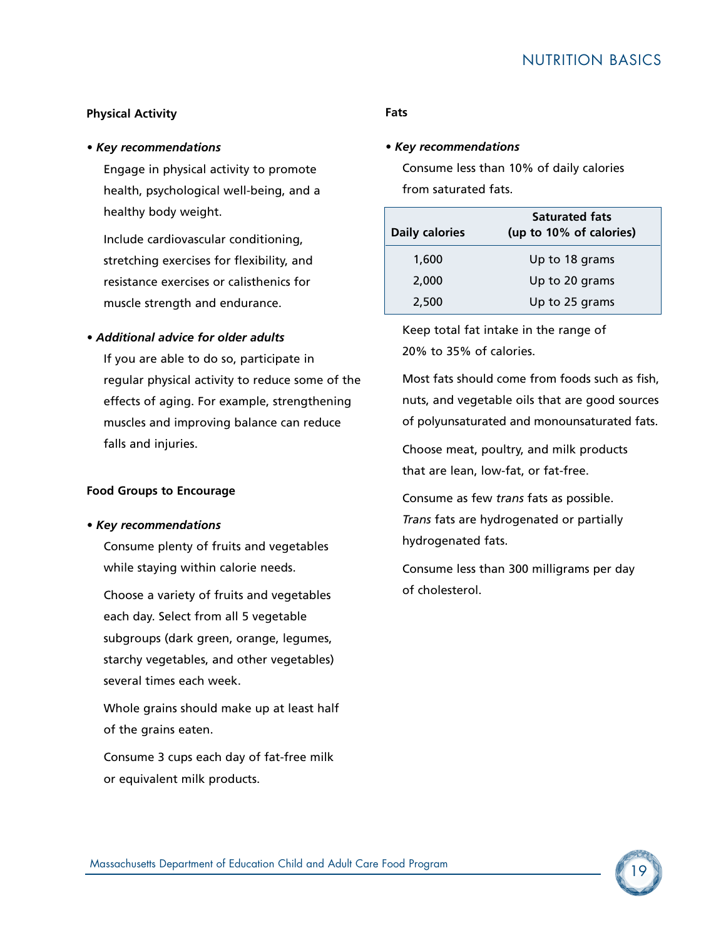#### **Physical Activity**

#### *• Key recommendations*

Engage in physical activity to promote health, psychological well-being, and a healthy body weight.

Include cardiovascular conditioning, stretching exercises for flexibility, and resistance exercises or calisthenics for muscle strength and endurance.

#### *• Additional advice for older adults*

If you are able to do so, participate in regular physical activity to reduce some of the effects of aging. For example, strengthening muscles and improving balance can reduce falls and injuries.

#### **Food Groups to Encourage**

#### *• Key recommendations*

Consume plenty of fruits and vegetables while staying within calorie needs.

Choose a variety of fruits and vegetables each day. Select from all 5 vegetable subgroups (dark green, orange, legumes, starchy vegetables, and other vegetables) several times each week.

Whole grains should make up at least half of the grains eaten.

Consume 3 cups each day of fat-free milk or equivalent milk products.

#### **Fats**

#### *• Key recommendations*

Consume less than 10% of daily calories from saturated fats.

| <b>Daily calories</b> | <b>Saturated fats</b><br>(up to 10% of calories) |
|-----------------------|--------------------------------------------------|
| 1,600                 | Up to 18 grams                                   |
| 2,000                 | Up to 20 grams                                   |
| 2,500                 | Up to 25 grams                                   |

Keep total fat intake in the range of 20% to 35% of calories.

Most fats should come from foods such as fish, nuts, and vegetable oils that are good sources of polyunsaturated and monounsaturated fats.

Choose meat, poultry, and milk products that are lean, low-fat, or fat-free.

Consume as few *trans* fats as possible. *Trans* fats are hydrogenated or partially hydrogenated fats.

Consume less than 300 milligrams per day of cholesterol.

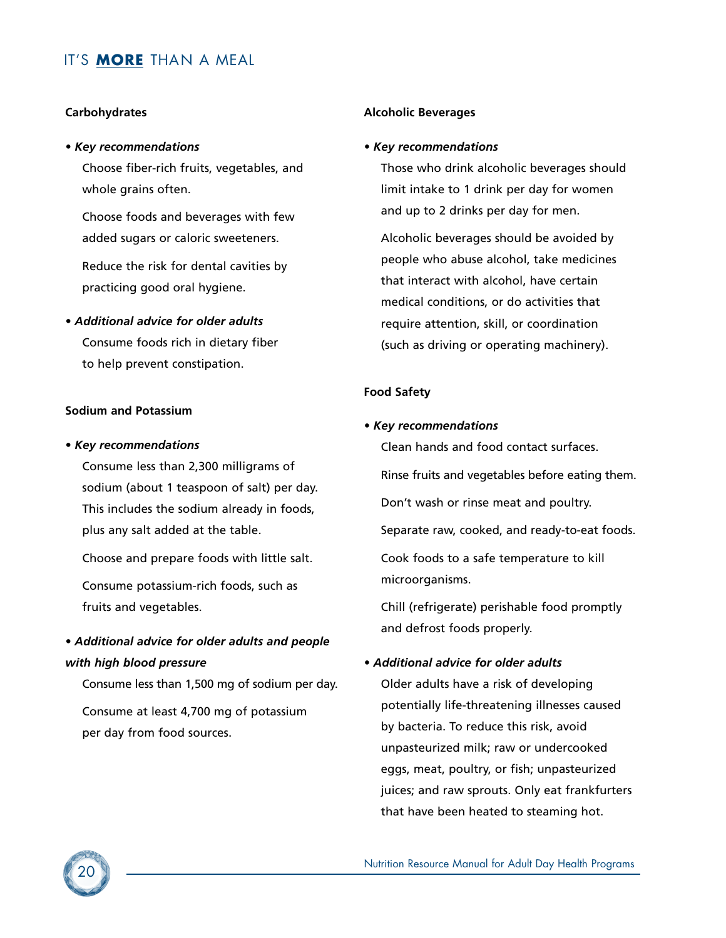#### **Carbohydrates**

#### *• Key recommendations*

Choose fiber-rich fruits, vegetables, and whole grains often.

Choose foods and beverages with few added sugars or caloric sweeteners.

Reduce the risk for dental cavities by practicing good oral hygiene.

*• Additional advice for older adults* Consume foods rich in dietary fiber to help prevent constipation.

#### **Sodium and Potassium**

#### *• Key recommendations*

Consume less than 2,300 milligrams of sodium (about 1 teaspoon of salt) per day. This includes the sodium already in foods, plus any salt added at the table.

Choose and prepare foods with little salt.

Consume potassium-rich foods, such as fruits and vegetables.

## *• Additional advice for older adults and people with high blood pressure*

Consume less than 1,500 mg of sodium per day. Consume at least 4,700 mg of potassium per day from food sources.

#### **Alcoholic Beverages**

#### *• Key recommendations*

Those who drink alcoholic beverages should limit intake to 1 drink per day for women and up to 2 drinks per day for men.

Alcoholic beverages should be avoided by people who abuse alcohol, take medicines that interact with alcohol, have certain medical conditions, or do activities that require attention, skill, or coordination (such as driving or operating machinery).

#### **Food Safety**

#### *• Key recommendations*

Clean hands and food contact surfaces. Rinse fruits and vegetables before eating them. Don't wash or rinse meat and poultry. Separate raw, cooked, and ready-to-eat foods. Cook foods to a safe temperature to kill microorganisms.

Chill (refrigerate) perishable food promptly and defrost foods properly.

#### *• Additional advice for older adults*

Older adults have a risk of developing potentially life-threatening illnesses caused by bacteria. To reduce this risk, avoid unpasteurized milk; raw or undercooked eggs, meat, poultry, or fish; unpasteurized juices; and raw sprouts. Only eat frankfurters that have been heated to steaming hot.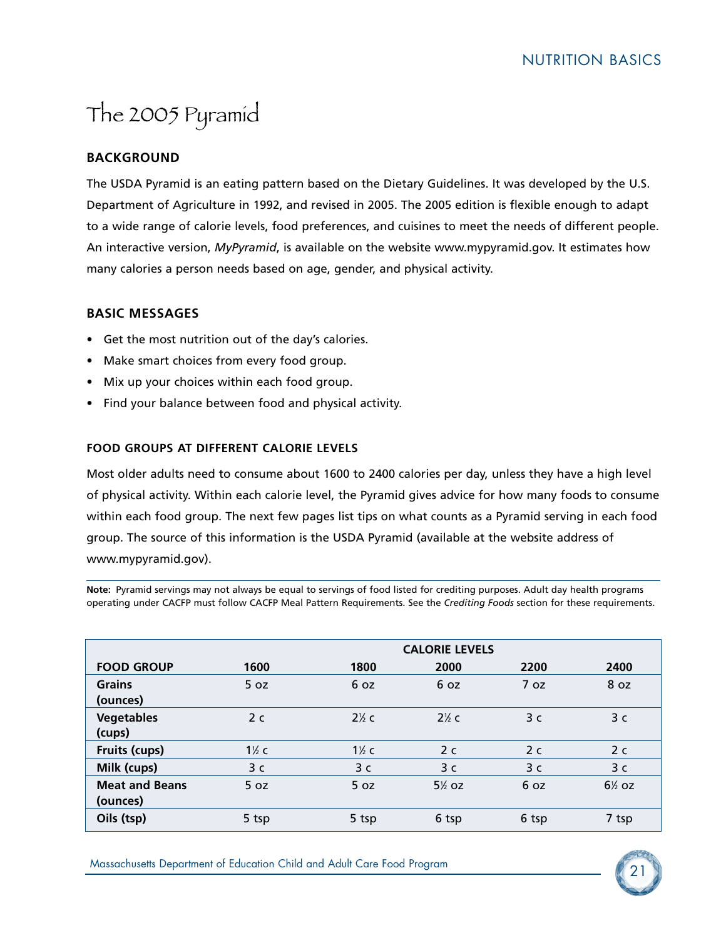# The 2005 Pyramid

## **BACKGROUND**

The USDA Pyramid is an eating pattern based on the Dietary Guidelines. It was developed by the U.S. Department of Agriculture in 1992, and revised in 2005. The 2005 edition is flexible enough to adapt to a wide range of calorie levels, food preferences, and cuisines to meet the needs of different people. An interactive version, *MyPyramid*, is available on the website www.mypyramid.gov. It estimates how many calories a person needs based on age, gender, and physical activity.

## **BASIC MESSAGES**

- Get the most nutrition out of the day's calories.
- Make smart choices from every food group.
- Mix up your choices within each food group.
- Find your balance between food and physical activity.

#### **FOOD GROUPS AT DIFFERENT CALORIE LEVELS**

Most older adults need to consume about 1600 to 2400 calories per day, unless they have a high level of physical activity. Within each calorie level, the Pyramid gives advice for how many foods to consume within each food group. The next few pages list tips on what counts as a Pyramid serving in each food group. The source of this information is the USDA Pyramid (available at the website address of www.mypyramid.gov).

**Note:** Pyramid servings may not always be equal to servings of food listed for crediting purposes. Adult day health programs operating under CACFP must follow CACFP Meal Pattern Requirements. See the *Crediting Foods* section for these requirements.

|                                   |                  |                  | <b>CALORIE LEVELS</b> |                |                |
|-----------------------------------|------------------|------------------|-----------------------|----------------|----------------|
| <b>FOOD GROUP</b>                 | 1600             | 1800             | 2000                  | 2200           | 2400           |
| <b>Grains</b><br>(ounces)         | 5 oz             | 6 oz             | 6 oz                  | 7 oz           | 8 oz           |
| <b>Vegetables</b><br>(cups)       | 2 <sub>c</sub>   | $2\%$ c          | $2\%$ c               | 3 <sub>c</sub> | 3 <sub>c</sub> |
| Fruits (cups)                     | $1\frac{1}{2}$ c | $1\frac{1}{2}$ c | 2 <sub>c</sub>        | 2 <sub>c</sub> | 2 <sub>c</sub> |
| Milk (cups)                       | 3 c              | 3 <sub>c</sub>   | 3 <sub>c</sub>        | 3 <sub>c</sub> | 3 <sub>c</sub> |
| <b>Meat and Beans</b><br>(ounces) | 5 oz             | 5 oz             | $5\%$ oz              | 6 oz           | $6\%$ oz       |
| Oils (tsp)                        | 5 tsp            | 5 tsp            | 6 tsp                 | 6 tsp          | 7 tsp          |

<sup>21</sup> Massachusetts Department of Education Child and Adult Care Food Program

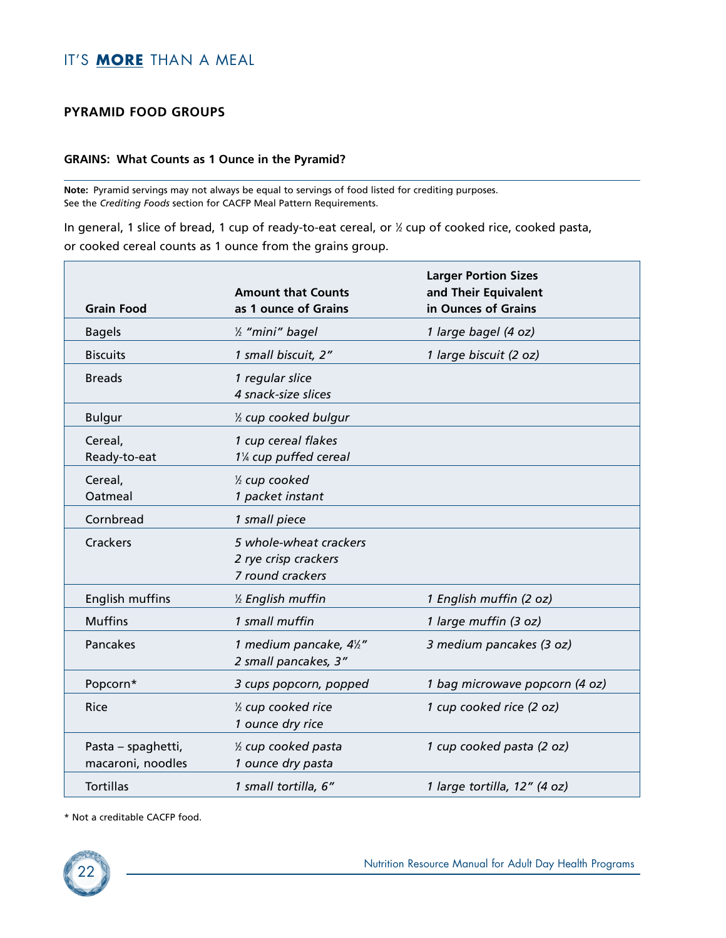#### **PYRAMID FOOD GROUPS**

#### **GRAINS: What Counts as 1 Ounce in the Pyramid?**

**Note:** Pyramid servings may not always be equal to servings of food listed for crediting purposes. See the *Crediting Foods* section for CACFP Meal Pattern Requirements.

In general, 1 slice of bread, 1 cup of ready-to-eat cereal, or 1 ⁄2 cup of cooked rice, cooked pasta, or cooked cereal counts as 1 ounce from the grains group.

| <b>Grain Food</b>                       | <b>Amount that Counts</b><br>as 1 ounce of Grains                  | <b>Larger Portion Sizes</b><br>and Their Equivalent<br>in Ounces of Grains |
|-----------------------------------------|--------------------------------------------------------------------|----------------------------------------------------------------------------|
| <b>Bagels</b>                           | 1/ <sub>2</sub> "mini" bagel                                       | 1 large bagel (4 oz)                                                       |
| <b>Biscuits</b>                         | 1 small biscuit, 2"                                                | 1 large biscuit (2 oz)                                                     |
| <b>Breads</b>                           | 1 regular slice<br>4 snack-size slices                             |                                                                            |
| <b>Bulgur</b>                           | 1/2 cup cooked bulgur                                              |                                                                            |
| Cereal,<br>Ready-to-eat                 | 1 cup cereal flakes<br>11/4 cup puffed cereal                      |                                                                            |
| Cereal,<br>Oatmeal                      | 1/2 cup cooked<br>1 packet instant                                 |                                                                            |
| Cornbread                               | 1 small piece                                                      |                                                                            |
| <b>Crackers</b>                         | 5 whole-wheat crackers<br>2 rye crisp crackers<br>7 round crackers |                                                                            |
| English muffins                         | 1/2 English muffin                                                 | 1 English muffin (2 oz)                                                    |
| <b>Muffins</b>                          | 1 small muffin                                                     | 1 large muffin (3 oz)                                                      |
| Pancakes                                | 1 medium pancake, 41/2"<br>2 small pancakes, 3"                    | 3 medium pancakes (3 oz)                                                   |
| Popcorn*                                | 3 cups popcorn, popped                                             | 1 bag microwave popcorn (4 oz)                                             |
| Rice                                    | 1/2 cup cooked rice<br>1 ounce dry rice                            | 1 cup cooked rice (2 oz)                                                   |
| Pasta – spaghetti,<br>macaroni, noodles | 1/2 cup cooked pasta<br>1 ounce dry pasta                          | 1 cup cooked pasta (2 oz)                                                  |
| <b>Tortillas</b>                        | 1 small tortilla, 6"                                               | 1 large tortilla, 12" (4 oz)                                               |

\* Not a creditable CACFP food.

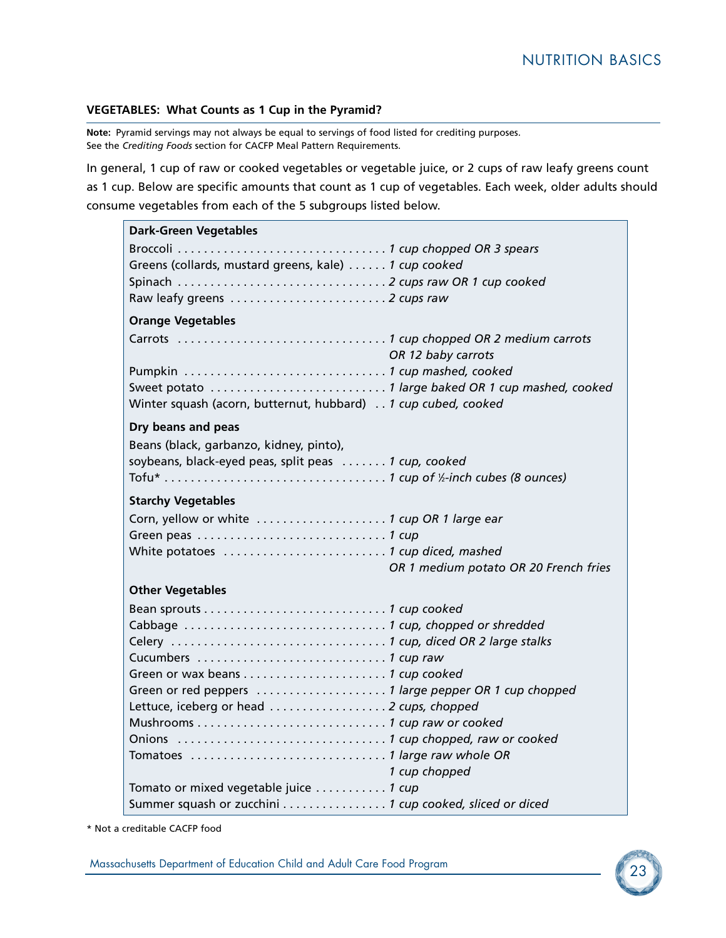#### **VEGETABLES: What Counts as 1 Cup in the Pyramid?**

**Note:** Pyramid servings may not always be equal to servings of food listed for crediting purposes. See the *Crediting Foods* section for CACFP Meal Pattern Requirements.

In general, 1 cup of raw or cooked vegetables or vegetable juice, or 2 cups of raw leafy greens count as 1 cup. Below are specific amounts that count as 1 cup of vegetables. Each week, older adults should consume vegetables from each of the 5 subgroups listed below.

| <b>Dark-Green Vegetables</b>                                  |
|---------------------------------------------------------------|
|                                                               |
| Greens (collards, mustard greens, kale) 1 cup cooked          |
|                                                               |
|                                                               |
| <b>Orange Vegetables</b>                                      |
| OR 12 baby carrots                                            |
|                                                               |
| Winter squash (acorn, butternut, hubbard) 1 cup cubed, cooked |
| Dry beans and peas                                            |
| Beans (black, garbanzo, kidney, pinto),                       |
| soybeans, black-eyed peas, split peas  1 cup, cooked          |
|                                                               |
| <b>Starchy Vegetables</b>                                     |
|                                                               |
|                                                               |
|                                                               |
| OR 1 medium potato OR 20 French fries                         |
| <b>Other Vegetables</b>                                       |
|                                                               |
|                                                               |
|                                                               |
|                                                               |
|                                                               |
| Lettuce, iceberg or head  2 cups, chopped                     |
|                                                               |
|                                                               |
|                                                               |
| 1 cup chopped                                                 |
| Tomato or mixed vegetable juice  1 cup                        |
| Summer squash or zucchini 1 cup cooked, sliced or diced       |

\* Not a creditable CACFP food

Massachusetts Department of Education Child and Adult Care Food Program 23 Massachusetts Department of Education Child and Adult Care Food Program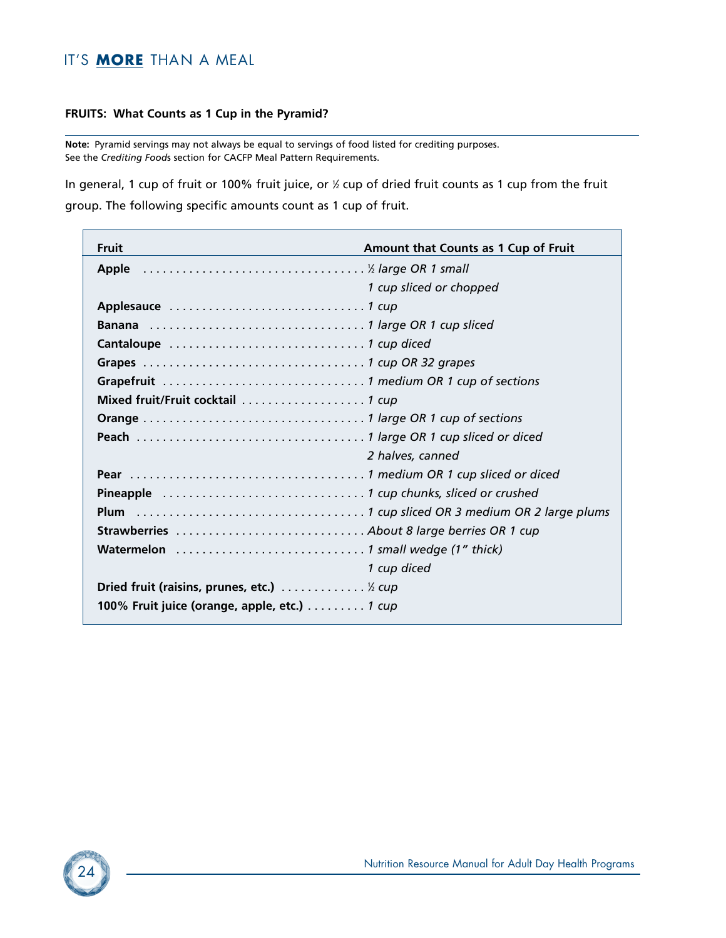#### **FRUITS: What Counts as 1 Cup in the Pyramid?**

**Note:** Pyramid servings may not always be equal to servings of food listed for crediting purposes. See the *Crediting Food*s section for CACFP Meal Pattern Requirements.

In general, 1 cup of fruit or 100% fruit juice, or  $\frac{1}{2}$  cup of dried fruit counts as 1 cup from the fruit group. The following specific amounts count as 1 cup of fruit.

| <b>Fruit</b>                                 | Amount that Counts as 1 Cup of Fruit |
|----------------------------------------------|--------------------------------------|
|                                              |                                      |
|                                              | 1 cup sliced or chopped              |
|                                              |                                      |
|                                              |                                      |
|                                              |                                      |
|                                              |                                      |
|                                              |                                      |
|                                              |                                      |
|                                              |                                      |
|                                              |                                      |
|                                              | 2 halves, canned                     |
|                                              |                                      |
|                                              |                                      |
|                                              |                                      |
|                                              |                                      |
|                                              |                                      |
|                                              | 1 cup diced                          |
| Dried fruit (raisins, prunes, etc.) % cup    |                                      |
| 100% Fruit juice (orange, apple, etc.) 1 cup |                                      |
|                                              |                                      |

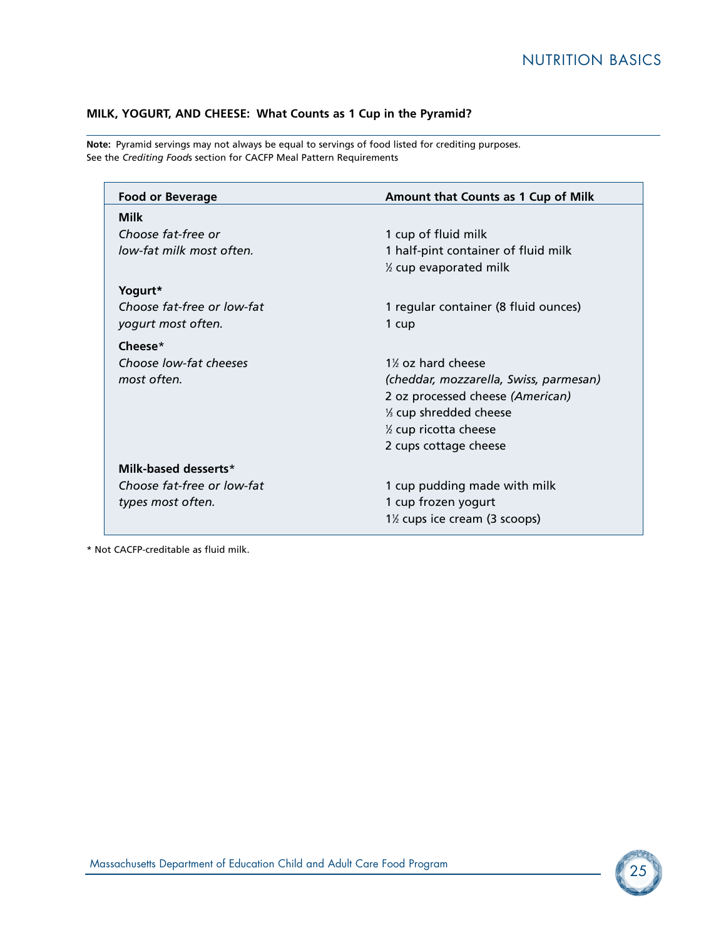### **MILK, YOGURT, AND CHEESE: What Counts as 1 Cup in the Pyramid?**

**Note:** Pyramid servings may not always be equal to servings of food listed for crediting purposes. See the *Crediting Food*s section for CACFP Meal Pattern Requirements

| <b>Food or Beverage</b>    | Amount that Counts as 1 Cup of Milk                     |
|----------------------------|---------------------------------------------------------|
| <b>Milk</b>                |                                                         |
| Choose fat-free or         | 1 cup of fluid milk                                     |
| low-fat milk most often.   | 1 half-pint container of fluid milk                     |
|                            | % cup evaporated milk                                   |
| Yogurt*                    |                                                         |
| Choose fat-free or low-fat | 1 regular container (8 fluid ounces)                    |
| yogurt most often.         | 1 cup                                                   |
| Cheese $*$                 |                                                         |
| Choose low-fat cheeses     | 1% oz hard cheese                                       |
| most often.                | (cheddar, mozzarella, Swiss, parmesan)                  |
|                            | 2 oz processed cheese (American)                        |
|                            | 1/3 cup shredded cheese                                 |
|                            | % cup ricotta cheese                                    |
|                            | 2 cups cottage cheese                                   |
| Milk-based desserts*       |                                                         |
| Choose fat-free or low-fat | 1 cup pudding made with milk                            |
| types most often.          | 1 cup frozen yogurt                                     |
|                            | 1 <sup>1</sup> / <sub>2</sub> cups ice cream (3 scoops) |

\* Not CACFP-creditable as fluid milk.

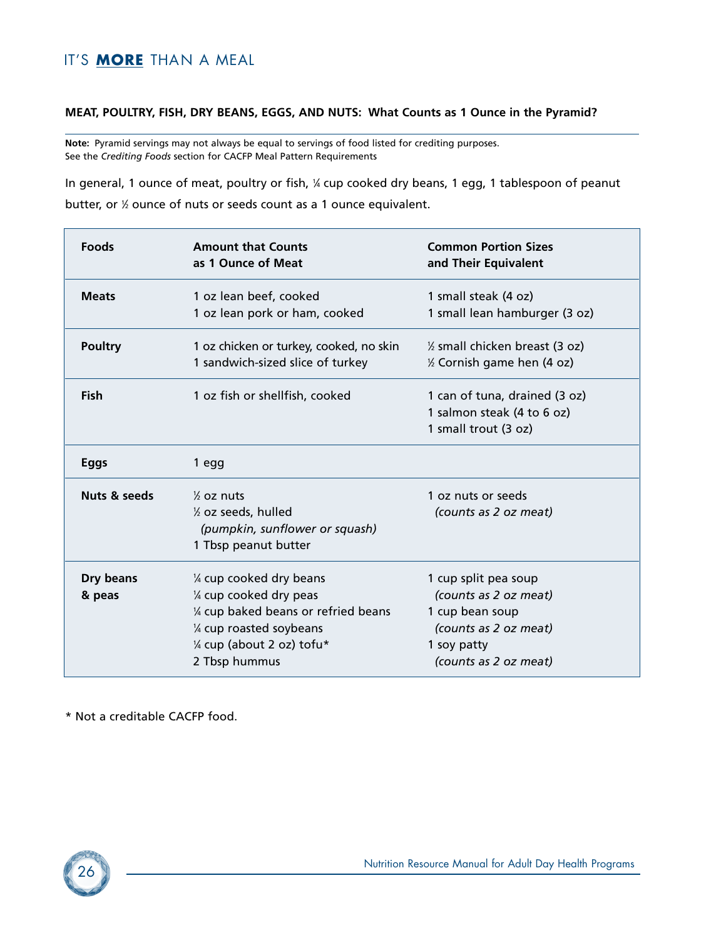#### **MEAT, POULTRY, FISH, DRY BEANS, EGGS, AND NUTS: What Counts as 1 Ounce in the Pyramid?**

**Note:** Pyramid servings may not always be equal to servings of food listed for crediting purposes. See the *Crediting Foods* section for CACFP Meal Pattern Requirements

In general, 1 ounce of meat, poultry or fish, ¼ cup cooked dry beans, 1 egg, 1 tablespoon of peanut butter, or 1 ⁄2 ounce of nuts or seeds count as a 1 ounce equivalent.

| <b>Foods</b>        | <b>Amount that Counts</b><br>as 1 Ounce of Meat                                                                                                                        | <b>Common Portion Sizes</b><br>and Their Equivalent                                                                               |
|---------------------|------------------------------------------------------------------------------------------------------------------------------------------------------------------------|-----------------------------------------------------------------------------------------------------------------------------------|
| <b>Meats</b>        | 1 oz lean beef, cooked<br>1 oz lean pork or ham, cooked                                                                                                                | 1 small steak (4 oz)<br>1 small lean hamburger (3 oz)                                                                             |
| <b>Poultry</b>      | 1 oz chicken or turkey, cooked, no skin<br>1 sandwich-sized slice of turkey                                                                                            | 1/2 small chicken breast (3 oz)<br>% Cornish game hen (4 oz)                                                                      |
| <b>Fish</b>         | 1 oz fish or shellfish, cooked                                                                                                                                         | 1 can of tuna, drained (3 oz)<br>1 salmon steak (4 to 6 oz)<br>1 small trout (3 oz)                                               |
| <b>Eggs</b>         | 1 egg                                                                                                                                                                  |                                                                                                                                   |
| Nuts & seeds        | $\frac{1}{2}$ oz nuts<br>1/2 oz seeds, hulled<br>(pumpkin, sunflower or squash)<br>1 Tbsp peanut butter                                                                | 1 oz nuts or seeds<br>(counts as 2 oz meat)                                                                                       |
| Dry beans<br>& peas | 1/4 cup cooked dry beans<br>1/4 cup cooked dry peas<br>1/4 cup baked beans or refried beans<br>1/4 cup roasted soybeans<br>1/4 cup (about 2 oz) tofu*<br>2 Tbsp hummus | 1 cup split pea soup<br>(counts as 2 oz meat)<br>1 cup bean soup<br>(counts as 2 oz meat)<br>1 soy patty<br>(counts as 2 oz meat) |

\* Not a creditable CACFP food.

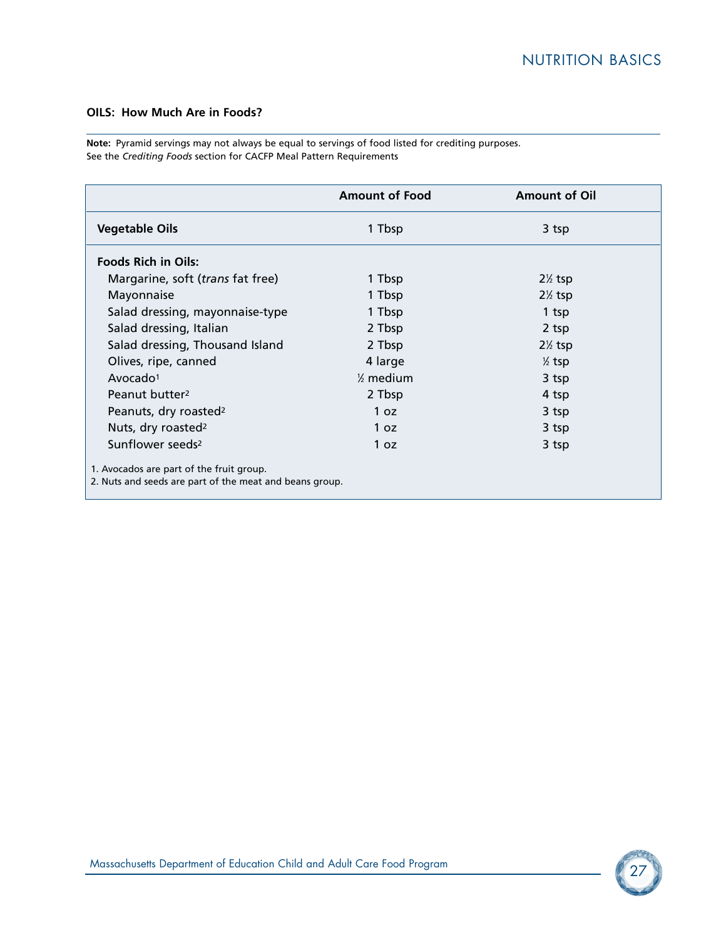#### **OILS: How Much Are in Foods?**

**Note:** Pyramid servings may not always be equal to servings of food listed for crediting purposes. See the *Crediting Foods* section for CACFP Meal Pattern Requirements

|                                                         | <b>Amount of Food</b> | <b>Amount of Oil</b> |
|---------------------------------------------------------|-----------------------|----------------------|
| <b>Vegetable Oils</b>                                   | 1 Tbsp                | 3 tsp                |
| <b>Foods Rich in Oils:</b>                              |                       |                      |
| Margarine, soft (trans fat free)                        | 1 Tbsp                | $2\frac{1}{2}$ tsp   |
| Mayonnaise                                              | 1 Tbsp                | $2\frac{1}{2}$ tsp   |
| Salad dressing, mayonnaise-type                         | 1 Tbsp                | 1 tsp                |
| Salad dressing, Italian                                 | 2 Tbsp                | 2 tsp                |
| Salad dressing, Thousand Island                         | 2 Tbsp                | $2\frac{1}{2}$ tsp   |
| Olives, ripe, canned                                    | 4 large               | $\frac{1}{2}$ tsp    |
| Avocado $1$                                             | $\frac{1}{2}$ medium  | 3 tsp                |
| Peanut butter <sup>2</sup>                              | 2 Tbsp                | 4 tsp                |
| Peanuts, dry roasted <sup>2</sup>                       | 1 oz                  | 3 tsp                |
| Nuts, dry roasted <sup>2</sup>                          | 1 oz                  | 3 tsp                |
| Sunflower seeds <sup>2</sup>                            | 1 oz                  | 3 tsp                |
| 1. Avocados are part of the fruit group.                |                       |                      |
| 2. Nuts and seeds are part of the meat and beans group. |                       |                      |

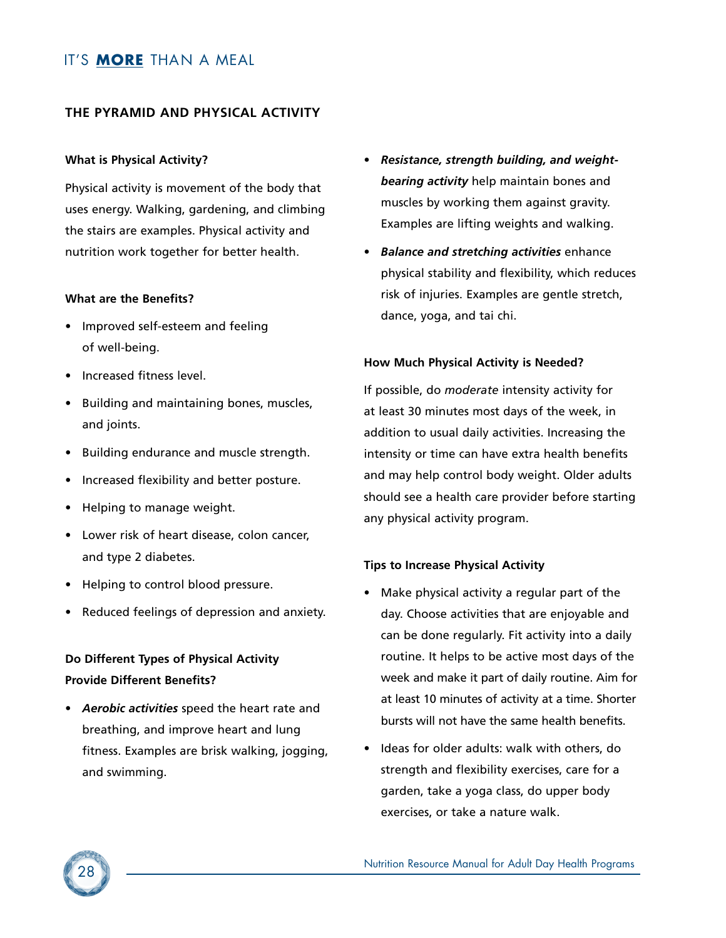### **THE PYRAMID AND PHYSICAL ACTIVITY**

#### **What is Physical Activity?**

Physical activity is movement of the body that uses energy. Walking, gardening, and climbing the stairs are examples. Physical activity and nutrition work together for better health.

#### **What are the Benefits?**

- Improved self-esteem and feeling of well-being.
- Increased fitness level.
- Building and maintaining bones, muscles, and joints.
- Building endurance and muscle strength.
- Increased flexibility and better posture.
- Helping to manage weight.
- Lower risk of heart disease, colon cancer, and type 2 diabetes.
- Helping to control blood pressure.
- Reduced feelings of depression and anxiety.

# **Do Different Types of Physical Activity Provide Different Benefits?**

• *Aerobic activities* speed the heart rate and breathing, and improve heart and lung fitness. Examples are brisk walking, jogging, and swimming.

- *Resistance, strength building, and weightbearing activity* help maintain bones and muscles by working them against gravity. Examples are lifting weights and walking.
- *Balance and stretching activities* enhance physical stability and flexibility, which reduces risk of injuries. Examples are gentle stretch, dance, yoga, and tai chi.

#### **How Much Physical Activity is Needed?**

If possible, do *moderate* intensity activity for at least 30 minutes most days of the week, in addition to usual daily activities. Increasing the intensity or time can have extra health benefits and may help control body weight. Older adults should see a health care provider before starting any physical activity program.

#### **Tips to Increase Physical Activity**

- Make physical activity a regular part of the day. Choose activities that are enjoyable and can be done regularly. Fit activity into a daily routine. It helps to be active most days of the week and make it part of daily routine. Aim for at least 10 minutes of activity at a time. Shorter bursts will not have the same health benefits.
- Ideas for older adults: walk with others, do strength and flexibility exercises, care for a garden, take a yoga class, do upper body exercises, or take a nature walk.

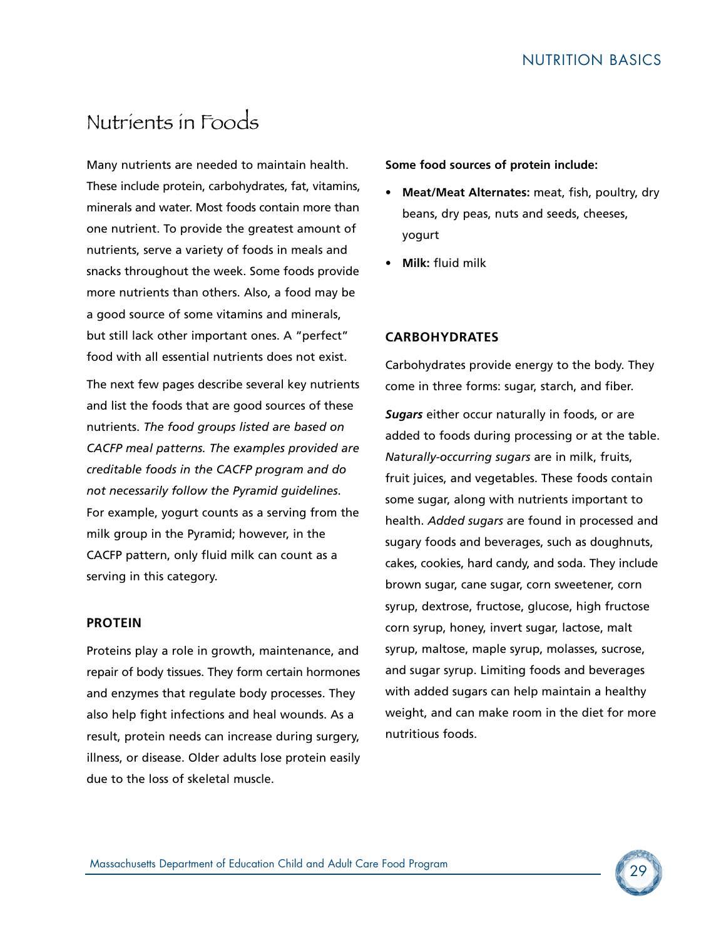# Nutrients in Foods

Many nutrients are needed to maintain health. These include protein, carbohydrates, fat, vitamins, minerals and water. Most foods contain more than one nutrient. To provide the greatest amount of nutrients, serve a variety of foods in meals and snacks throughout the week. Some foods provide more nutrients than others. Also, a food may be a good source of some vitamins and minerals, but still lack other important ones. A "perfect" food with all essential nutrients does not exist.

The next few pages describe several key nutrients and list the foods that are good sources of these nutrients. *The food groups listed are based on CACFP meal patterns. The examples provided are creditable foods in the CACFP program and do not necessarily follow the Pyramid guidelines*. For example, yogurt counts as a serving from the milk group in the Pyramid; however, in the CACFP pattern, only fluid milk can count as a serving in this category.

#### **PROTEIN**

Proteins play a role in growth, maintenance, and repair of body tissues. They form certain hormones and enzymes that regulate body processes. They also help fight infections and heal wounds. As a result, protein needs can increase during surgery, illness, or disease. Older adults lose protein easily due to the loss of skeletal muscle.

**Some food sources of protein include:**

- **Meat/Meat Alternates:** meat, fish, poultry, dry beans, dry peas, nuts and seeds, cheeses, yogurt
- **Milk:** fluid milk

#### **CARBOHYDRATES**

Carbohydrates provide energy to the body. They come in three forms: sugar, starch, and fiber.

*Sugars* either occur naturally in foods, or are added to foods during processing or at the table. *Naturally-occurring sugars* are in milk, fruits, fruit juices, and vegetables. These foods contain some sugar, along with nutrients important to health. *Added sugars* are found in processed and sugary foods and beverages, such as doughnuts, cakes, cookies, hard candy, and soda. They include brown sugar, cane sugar, corn sweetener, corn syrup, dextrose, fructose, glucose, high fructose corn syrup, honey, invert sugar, lactose, malt syrup, maltose, maple syrup, molasses, sucrose, and sugar syrup. Limiting foods and beverages with added sugars can help maintain a healthy weight, and can make room in the diet for more nutritious foods.

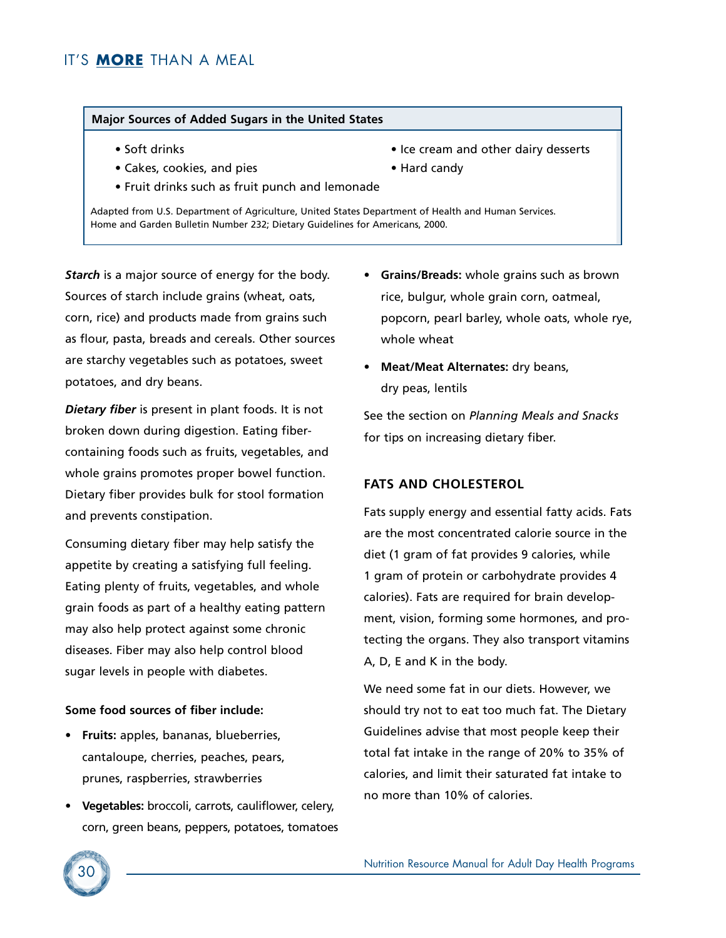#### **Major Sources of Added Sugars in the United States**

- 
- Cakes, cookies, and pies e Hard candy
- Fruit drinks such as fruit punch and lemonade
- Adapted from U.S. Department of Agriculture, United States Department of Health and Human Services.

*Starch* is a major source of energy for the body. Sources of starch include grains (wheat, oats, corn, rice) and products made from grains such as flour, pasta, breads and cereals. Other sources are starchy vegetables such as potatoes, sweet potatoes, and dry beans.

*Dietary fiber* is present in plant foods. It is not broken down during digestion. Eating fibercontaining foods such as fruits, vegetables, and whole grains promotes proper bowel function. Dietary fiber provides bulk for stool formation and prevents constipation.

Consuming dietary fiber may help satisfy the appetite by creating a satisfying full feeling. Eating plenty of fruits, vegetables, and whole grain foods as part of a healthy eating pattern may also help protect against some chronic diseases. Fiber may also help control blood sugar levels in people with diabetes.

#### **Some food sources of fiber include:**

- **Fruits:** apples, bananas, blueberries, cantaloupe, cherries, peaches, pears, prunes, raspberries, strawberries
- **Vegetables:** broccoli, carrots, cauliflower, celery, corn, green beans, peppers, potatoes, tomatoes
- Soft drinks Ice cream and other dairy desserts
	-
- Home and Garden Bulletin Number 232; Dietary Guidelines for Americans, 2000.
	- **Grains/Breads:** whole grains such as brown rice, bulgur, whole grain corn, oatmeal, popcorn, pearl barley, whole oats, whole rye, whole wheat
	- **Meat/Meat Alternates:** dry beans, dry peas, lentils

See the section on *Planning Meals and Snacks* for tips on increasing dietary fiber.

#### **FATS AND CHOLESTEROL**

Fats supply energy and essential fatty acids. Fats are the most concentrated calorie source in the diet (1 gram of fat provides 9 calories, while 1 gram of protein or carbohydrate provides 4 calories). Fats are required for brain development, vision, forming some hormones, and protecting the organs. They also transport vitamins A, D, E and K in the body.

We need some fat in our diets. However, we should try not to eat too much fat. The Dietary Guidelines advise that most people keep their total fat intake in the range of 20% to 35% of calories, and limit their saturated fat intake to no more than 10% of calories.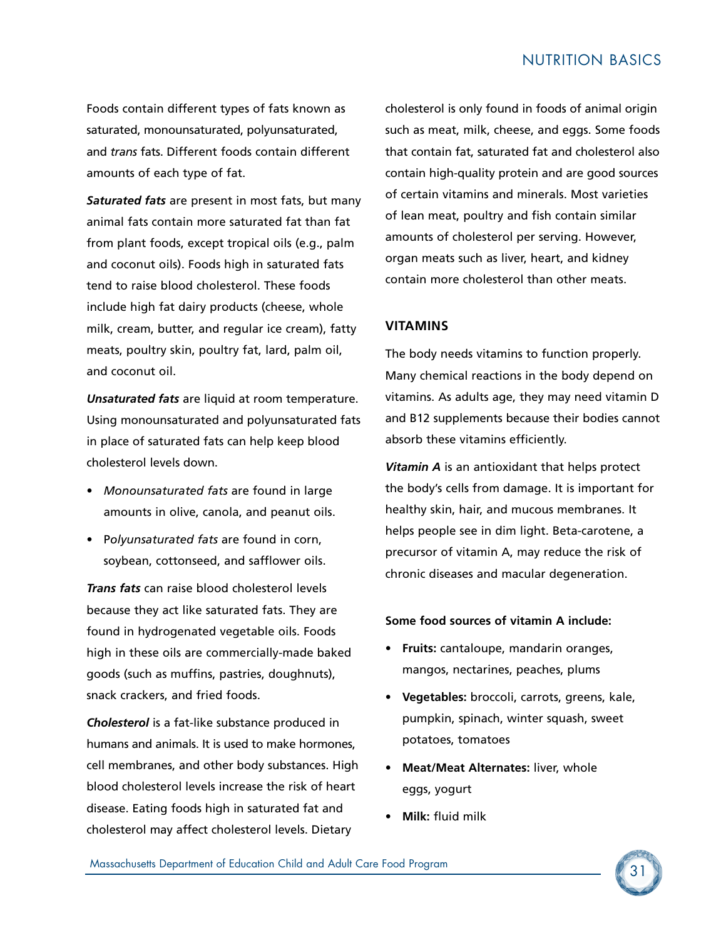Foods contain different types of fats known as saturated, monounsaturated, polyunsaturated, and *trans* fats. Different foods contain different amounts of each type of fat.

*Saturated fats* are present in most fats, but many animal fats contain more saturated fat than fat from plant foods, except tropical oils (e.g., palm and coconut oils). Foods high in saturated fats tend to raise blood cholesterol. These foods include high fat dairy products (cheese, whole milk, cream, butter, and regular ice cream), fatty meats, poultry skin, poultry fat, lard, palm oil, and coconut oil.

*Unsaturated fats* are liquid at room temperature. Using monounsaturated and polyunsaturated fats in place of saturated fats can help keep blood cholesterol levels down.

- *Monounsaturated fats* are found in large amounts in olive, canola, and peanut oils.
- P*olyunsaturated fats* are found in corn, soybean, cottonseed, and safflower oils.

*Trans fats* can raise blood cholesterol levels because they act like saturated fats. They are found in hydrogenated vegetable oils. Foods high in these oils are commercially-made baked goods (such as muffins, pastries, doughnuts), snack crackers, and fried foods.

*Cholesterol* is a fat-like substance produced in humans and animals. It is used to make hormones, cell membranes, and other body substances. High blood cholesterol levels increase the risk of heart disease. Eating foods high in saturated fat and cholesterol may affect cholesterol levels. Dietary

cholesterol is only found in foods of animal origin such as meat, milk, cheese, and eggs. Some foods that contain fat, saturated fat and cholesterol also contain high-quality protein and are good sources of certain vitamins and minerals. Most varieties of lean meat, poultry and fish contain similar amounts of cholesterol per serving. However, organ meats such as liver, heart, and kidney contain more cholesterol than other meats.

#### **VITAMINS**

The body needs vitamins to function properly. Many chemical reactions in the body depend on vitamins. As adults age, they may need vitamin D and B12 supplements because their bodies cannot absorb these vitamins efficiently.

*Vitamin A* is an antioxidant that helps protect the body's cells from damage. It is important for healthy skin, hair, and mucous membranes. It helps people see in dim light. Beta-carotene, a precursor of vitamin A, may reduce the risk of chronic diseases and macular degeneration.

#### **Some food sources of vitamin A include:**

- **Fruits:** cantaloupe, mandarin oranges, mangos, nectarines, peaches, plums
- **Vegetables:** broccoli, carrots, greens, kale, pumpkin, spinach, winter squash, sweet potatoes, tomatoes
- **Meat/Meat Alternates:** liver, whole eggs, yogurt
- **Milk:** fluid milk

<sup>31</sup> Massachusetts Department of Education Child and Adult Care Food Program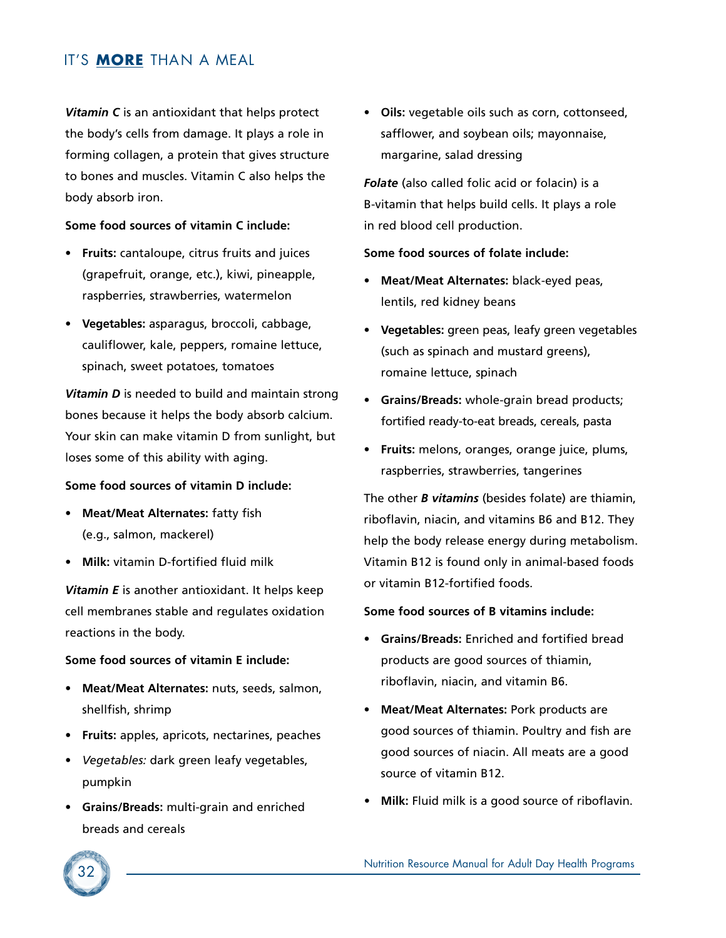*Vitamin C* is an antioxidant that helps protect the body's cells from damage. It plays a role in forming collagen, a protein that gives structure to bones and muscles. Vitamin C also helps the body absorb iron.

#### **Some food sources of vitamin C include:**

- **Fruits:** cantaloupe, citrus fruits and juices (grapefruit, orange, etc.), kiwi, pineapple, raspberries, strawberries, watermelon
- **Vegetables:** asparagus, broccoli, cabbage, cauliflower, kale, peppers, romaine lettuce, spinach, sweet potatoes, tomatoes

*Vitamin D* is needed to build and maintain strong bones because it helps the body absorb calcium. Your skin can make vitamin D from sunlight, but loses some of this ability with aging.

#### **Some food sources of vitamin D include:**

- **Meat/Meat Alternates:** fatty fish (e.g., salmon, mackerel)
- **Milk:** vitamin D-fortified fluid milk

*Vitamin E* is another antioxidant. It helps keep cell membranes stable and regulates oxidation reactions in the body.

#### **Some food sources of vitamin E include:**

- **Meat/Meat Alternates:** nuts, seeds, salmon, shellfish, shrimp
- **Fruits:** apples, apricots, nectarines, peaches
- *Vegetables:* dark green leafy vegetables, pumpkin
- **Grains/Breads:** multi-grain and enriched breads and cereals

• **Oils:** vegetable oils such as corn, cottonseed, safflower, and soybean oils; mayonnaise, margarine, salad dressing

*Folate* (also called folic acid or folacin) is a B-vitamin that helps build cells. It plays a role in red blood cell production.

#### **Some food sources of folate include:**

- **Meat/Meat Alternates:** black-eyed peas, lentils, red kidney beans
- **Vegetables:** green peas, leafy green vegetables (such as spinach and mustard greens), romaine lettuce, spinach
- **Grains/Breads:** whole-grain bread products; fortified ready-to-eat breads, cereals, pasta
- **Fruits:** melons, oranges, orange juice, plums, raspberries, strawberries, tangerines

The other *B vitamins* (besides folate) are thiamin, riboflavin, niacin, and vitamins B6 and B12. They help the body release energy during metabolism. Vitamin B12 is found only in animal-based foods or vitamin B12-fortified foods.

#### **Some food sources of B vitamins include:**

- **Grains/Breads:** Enriched and fortified bread products are good sources of thiamin, riboflavin, niacin, and vitamin B6.
- **Meat/Meat Alternates:** Pork products are good sources of thiamin. Poultry and fish are good sources of niacin. All meats are a good source of vitamin B12.
- *•* **Milk:** Fluid milk is a good source of riboflavin.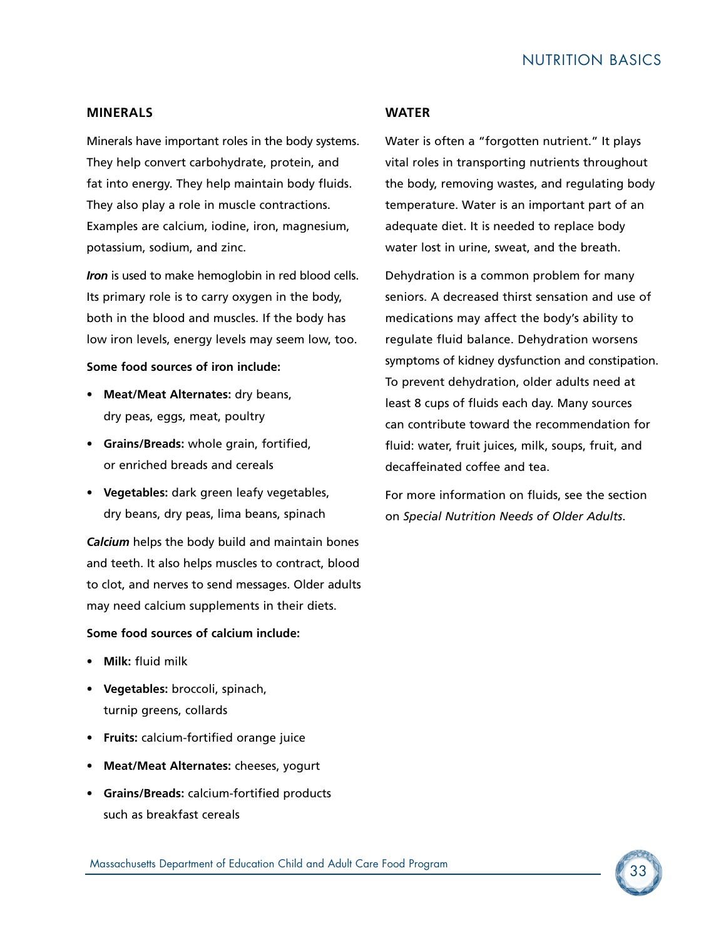#### **MINERALS**

Minerals have important roles in the body systems. They help convert carbohydrate, protein, and fat into energy. They help maintain body fluids. They also play a role in muscle contractions. Examples are calcium, iodine, iron, magnesium, potassium, sodium, and zinc.

*Iron* is used to make hemoglobin in red blood cells. Its primary role is to carry oxygen in the body, both in the blood and muscles. If the body has low iron levels, energy levels may seem low, too.

#### **Some food sources of iron include:**

- **Meat/Meat Alternates:** dry beans, dry peas, eggs, meat, poultry
- **Grains/Breads:** whole grain, fortified, or enriched breads and cereals
- **Vegetables:** dark green leafy vegetables, dry beans, dry peas, lima beans, spinach

*Calcium* helps the body build and maintain bones and teeth. It also helps muscles to contract, blood to clot, and nerves to send messages. Older adults may need calcium supplements in their diets.

#### **Some food sources of calcium include:**

- **Milk:** fluid milk
- **Vegetables:** broccoli, spinach, turnip greens, collards
- **Fruits:** calcium-fortified orange juice
- **Meat/Meat Alternates:** cheeses, yogurt
- **Grains/Breads:** calcium-fortified products such as breakfast cereals

#### **WATER**

Water is often a "forgotten nutrient." It plays vital roles in transporting nutrients throughout the body, removing wastes, and regulating body temperature. Water is an important part of an adequate diet. It is needed to replace body water lost in urine, sweat, and the breath.

Dehydration is a common problem for many seniors. A decreased thirst sensation and use of medications may affect the body's ability to regulate fluid balance. Dehydration worsens symptoms of kidney dysfunction and constipation. To prevent dehydration, older adults need at least 8 cups of fluids each day. Many sources can contribute toward the recommendation for fluid: water, fruit juices, milk, soups, fruit, and decaffeinated coffee and tea.

For more information on fluids, see the section on *Special Nutrition Needs of Older Adults*.

<sup>33</sup> Massachusetts Department of Education Child and Adult Care Food Program